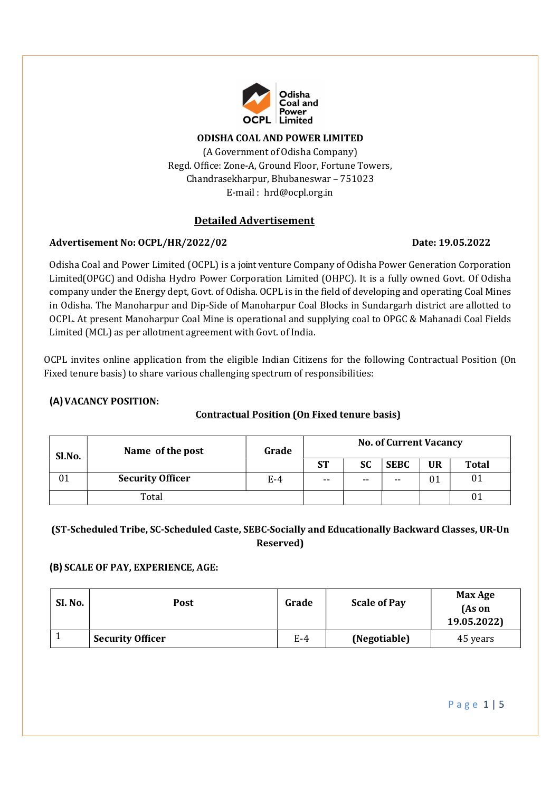

#### ODISHA COAL AND POWER LIMITED

(A Government of Odisha Company) Regd. Office: Zone-A, Ground Floor, Fortune Towers, Chandrasekharpur, Bhubaneswar – 751023 E-mail : hrd@ocpl.org.in

## Detailed Advertisement

### Advertisement No: OCPL/HR/2022/02 Date: 19.05.2022

Odisha Coal and Power Limited (OCPL) is a joint venture Company of Odisha Power Generation Corporation Limited (OPGC) and Odisha Hydro Power Corporation Limited (OHPC). It is a fully owned Govt. Of Odisha company under the Energy dept, Govt. of Odisha. OCPL is in the field of developing and operating Coal Mines in Odisha. The Manoharpur and Dip-Side of Manoharpur Coal Blocks in Sundargarh district are allotted to OCPL. At present Manoharpur Coal Mine is operational and supplying coal to OPGC & Mahanadi Coal Fields Limited (MCL) as per allotment agreement with Govt. of India.

OCPL invites online application from the eligible Indian Citizens for the following Contractual Position (On Fixed tenure basis) to share various challenging spectrum of responsibilities:

## (A)VACANCY POSITION:

# Contractual Position (On Fixed tenure basis)

| Sl.No. | Name of the post        | Grade | <b>No. of Current Vacancy</b> |           |             |           |              |
|--------|-------------------------|-------|-------------------------------|-----------|-------------|-----------|--------------|
|        |                         |       | <b>ST</b>                     | <b>SC</b> | <b>SEBC</b> | <b>UR</b> | <b>Total</b> |
| 01     | <b>Security Officer</b> | $E-4$ | $- -$                         | $- -$     | $- -$       | 01        | 01           |
|        | Total                   |       |                               |           |             |           | 01           |

# (ST-Scheduled Tribe, SC-Scheduled Caste, SEBC-Socially and Educationally Backward Classes, UR-Un Reserved)

### (B) SCALE OF PAY, EXPERIENCE, AGE: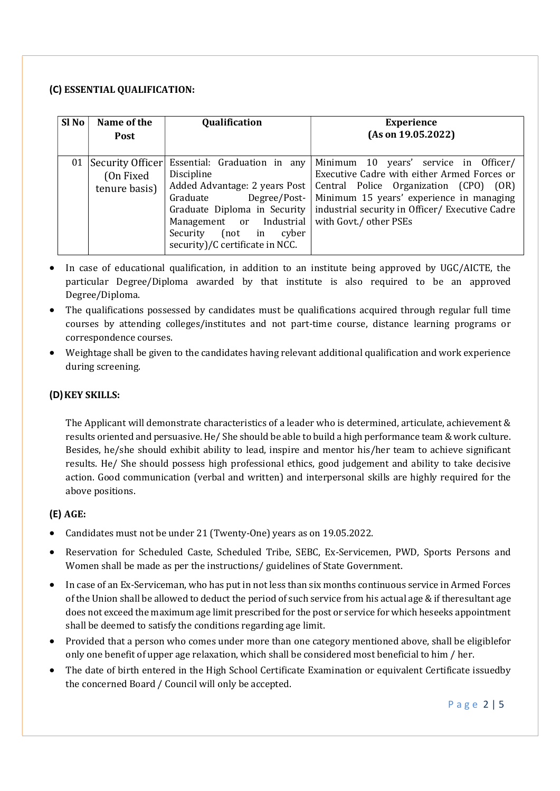### (C) ESSENTIAL QUALIFICATION:

| Sl No | Name of the<br>Post                             | Qualification                                                                                                                                                                                                                                  | <b>Experience</b><br>(As on 19.05.2022)                                                                                                                                                                                                                    |
|-------|-------------------------------------------------|------------------------------------------------------------------------------------------------------------------------------------------------------------------------------------------------------------------------------------------------|------------------------------------------------------------------------------------------------------------------------------------------------------------------------------------------------------------------------------------------------------------|
| 01    | Security Officer<br>(On Fixed)<br>tenure basis) | Essential: Graduation in any<br>Discipline<br>Added Advantage: 2 years Post<br>Graduate<br>Degree/Post-<br>Graduate Diploma in Security<br>Management or Industrial<br>$(not \quad in$<br>cyber<br>Security<br>security)/C certificate in NCC. | Minimum 10 years' service in Officer/<br>Executive Cadre with either Armed Forces or<br>Central Police Organization (CPO)<br>(OR)<br>Minimum 15 years' experience in managing<br>industrial security in Officer/ Executive Cadre<br>with Govt./ other PSEs |

- In case of educational qualification, in addition to an institute being approved by UGC/AICTE, the particular Degree/Diploma awarded by that institute is also required to be an approved Degree/Diploma.
- The qualifications possessed by candidates must be qualifications acquired through regular full time courses by attending colleges/institutes and not part-time course, distance learning programs or correspondence courses.
- Weightage shall be given to the candidates having relevant additional qualification and work experience during screening.

## (D)KEY SKILLS:

The Applicant will demonstrate characteristics of a leader who is determined, articulate, achievement & results oriented and persuasive. He/ She should be able to build a high performance team & work culture. Besides, he/she should exhibit ability to lead, inspire and mentor his/her team to achieve significant results. He/ She should possess high professional ethics, good judgement and ability to take decisive action. Good communication (verbal and written) and interpersonal skills are highly required for the above positions.

### (E) AGE:

- Candidates must not be under 21 (Twenty-One) years as on 19.05.2022.
- Reservation for Scheduled Caste, Scheduled Tribe, SEBC, Ex-Servicemen, PWD, Sports Persons and Women shall be made as per the instructions/ guidelines of State Government.
- In case of an Ex-Serviceman, who has put in not less than six months continuous service in Armed Forces of the Union shall be allowed to deduct the period of such service from his actual age & if the resultant age does not exceed the maximum age limit prescribed for the post or service for which heseeks appointment shall be deemed to satisfy the conditions regarding age limit.
- Provided that a person who comes under more than one category mentioned above, shall be eligible for only one benefit of upper age relaxation, which shall be considered most beneficial to him / her.
- The date of birth entered in the High School Certificate Examination or equivalent Certificate issued by the concerned Board / Council will only be accepted.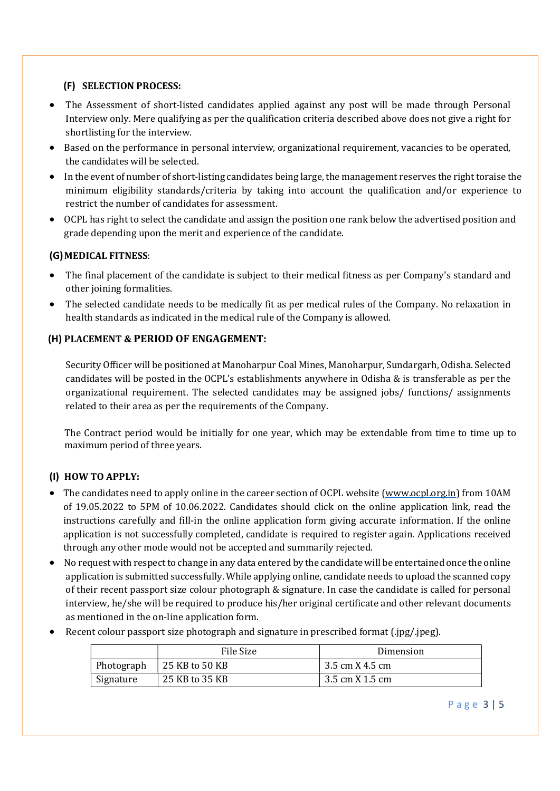# (F) SELECTION PROCESS:

- The Assessment of short-listed candidates applied against any post will be made through Personal Interview only. Mere qualifying as per the qualification criteria described above does not give a right for shortlisting for the interview.
- Based on the performance in personal interview, organizational requirement, vacancies to be operated, the candidates will be selected.
- In the event of number of short-listing candidates being large, the management reserves the right toraise the minimum eligibility standards/criteria by taking into account the qualification and/or experience to restrict the number of candidates for assessment.
- OCPL has right to select the candidate and assign the position one rank below the advertised position and grade depending upon the merit and experience of the candidate.

# (G)MEDICAL FITNESS:

- The final placement of the candidate is subject to their medical fitness as per Company's standard and other joining formalities.
- The selected candidate needs to be medically fit as per medical rules of the Company. No relaxation in health standards as indicated in the medical rule of the Company is allowed.

# (H) PLACEMENT & PERIOD OF ENGAGEMENT:

Security Officer will be positioned at Manoharpur Coal Mines, Manoharpur, Sundargarh, Odisha. Selected candidates will be posted in the OCPL's establishments anywhere in Odisha & is transferable as per the organizational requirement. The selected candidates may be assigned jobs/ functions/ assignments related to their area as per the requirements of the Company.

The Contract period would be initially for one year, which may be extendable from time to time up to maximum period of three years.

# (I) HOW TO APPLY:

- The candidates need to apply online in the career section of OCPL website (www.ocpl.org.in) from 10AM of 19.05.2022 to 5PM of 10.06.2022. Candidates should click on the online application link, read the instructions carefully and fill-in the online application form giving accurate information. If the online application is not successfully completed, candidate is required to register again. Applications received through any other mode would not be accepted and summarily rejected.
- No request with respect to change in any data entered by the candidate will be entertained once the online application is submitted successfully. While applying online, candidate needs to upload the scanned copy of their recent passport size colour photograph & signature. In case the candidate is called for personal interview, he/she will be required to produce his/her original certificate and other relevant documents as mentioned in the on-line application form.
- Recent colour passport size photograph and signature in prescribed format (.jpg/.jpeg).

|            | File Size      | Dimension       |
|------------|----------------|-----------------|
| Photograph | 25 KB to 50 KB | 3.5 cm X 4.5 cm |
| Signature  | 25 KB to 35 KB | 3.5 cm X 1.5 cm |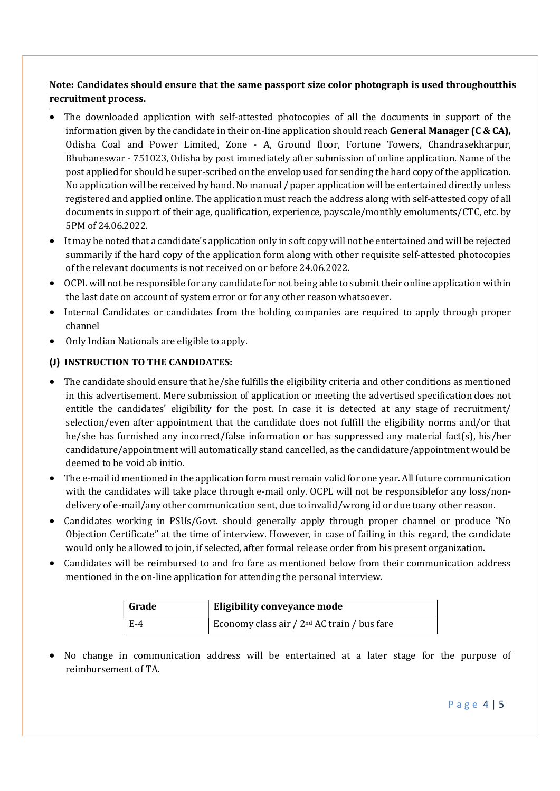# Note: Candidates should ensure that the same passport size color photograph is used throughout this recruitment process.

- The downloaded application with self-attested photocopies of all the documents in support of the information given by the candidate in their on-line application should reach **General Manager (C & CA)**, Odisha Coal and Power Limited, Zone - A, Ground floor, Fortune Towers, Chandrasekharpur, Bhubaneswar - 751023, Odisha by post immediately after submission of online application. Name of the post applied for should be super-scribed on the envelop used for sending the hard copy of the application. No application will be received by hand. No manual / paper application will be entertained directly unless registered and applied online. The application must reach the address along with self-attested copy of all documents in support of their age, qualification, experience, payscale/monthly emoluments/CTC, etc. by 5PM of 24.06.2022.
- It may be noted that a candidate's application only in soft copy will not be entertained and will be rejected summarily if the hard copy of the application form along with other requisite self-attested photocopies of the relevant documents is not received on or before 24.06.2022.
- OCPL will not be responsible for any candidate for not being able to submit their online application within the last date on account of system error or for any other reason whatsoever.
- Internal Candidates or candidates from the holding companies are required to apply through proper channel
- Only Indian Nationals are eligible to apply.

# (J) INSTRUCTION TO THE CANDIDATES:

- The candidate should ensure that he/she fulfills the eligibility criteria and other conditions as mentioned in this advertisement. Mere submission of application or meeting the advertised specification does not entitle the candidates' eligibility for the post. In case it is detected at any stage of recruitment/ selection/even after appointment that the candidate does not fulfill the eligibility norms and/or that he/she has furnished any incorrect/false information or has suppressed any material fact(s), his/her candidature/appointment will automatically stand cancelled, as the candidature/appointment would be deemed to be void ab initio.
- The e-mail id mentioned in the application form must remain valid for one year. All future communication with the candidates will take place through e-mail only. OCPL will not be responsible for any loss/nondelivery of e-mail/any other communication sent, due to invalid/wrong id or due to any other reason.
- Candidates working in PSUs/Govt. should generally apply through proper channel or produce "No Objection Certificate" at the time of interview. However, in case of failing in this regard, the candidate would only be allowed to join, if selected, after formal release order from his present organization.
- Candidates will be reimbursed to and fro fare as mentioned below from their communication address mentioned in the on-line application for attending the personal interview.

| Grade | Eligibility conveyance mode                   |
|-------|-----------------------------------------------|
| – E-4 | Economy class air / $2nd$ AC train / bus fare |

 No change in communication address will be entertained at a later stage for the purpose of reimbursement of TA.